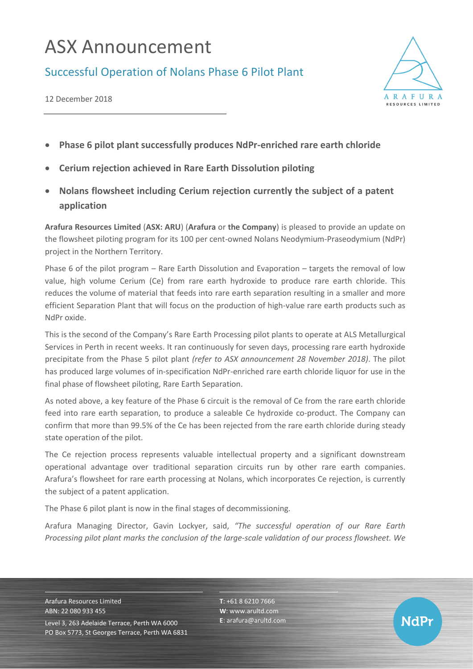# ASX Announcement

## Successful Operation of Nolans Phase 6 Pilot Plant



12 December 2018

- **Phase 6 pilot plant successfully produces NdPr-enriched rare earth chloride**
- **Cerium rejection achieved in Rare Earth Dissolution piloting**
- **Nolans flowsheet including Cerium rejection currently the subject of a patent application**

**Arafura Resources Limited** (**ASX: ARU**) (**Arafura** or **the Company**) is pleased to provide an update on the flowsheet piloting program for its 100 per cent-owned Nolans Neodymium-Praseodymium (NdPr) project in the Northern Territory.

Phase 6 of the pilot program – Rare Earth Dissolution and Evaporation – targets the removal of low value, high volume Cerium (Ce) from rare earth hydroxide to produce rare earth chloride. This reduces the volume of material that feeds into rare earth separation resulting in a smaller and more efficient Separation Plant that will focus on the production of high-value rare earth products such as NdPr oxide.

This is the second of the Company's Rare Earth Processing pilot plants to operate at ALS Metallurgical Services in Perth in recent weeks. It ran continuously for seven days, processing rare earth hydroxide precipitate from the Phase 5 pilot plant *(refer to ASX announcement 28 November 2018)*. The pilot has produced large volumes of in-specification NdPr-enriched rare earth chloride liquor for use in the final phase of flowsheet piloting, Rare Earth Separation.

As noted above, a key feature of the Phase 6 circuit is the removal of Ce from the rare earth chloride feed into rare earth separation, to produce a saleable Ce hydroxide co-product. The Company can confirm that more than 99.5% of the Ce has been rejected from the rare earth chloride during steady state operation of the pilot.

The Ce rejection process represents valuable intellectual property and a significant downstream operational advantage over traditional separation circuits run by other rare earth companies. Arafura's flowsheet for rare earth processing at Nolans, which incorporates Ce rejection, is currently the subject of a patent application.

The Phase 6 pilot plant is now in the final stages of decommissioning.

Arafura Managing Director, Gavin Lockyer, said, *"The successful operation of our Rare Earth Processing pilot plant marks the conclusion of the large-scale validation of our process flowsheet. We* 

Arafura Resources Limited ABN: 22 080 933 455 Level 3, 263 Adelaide Terrace, Perth WA 6000 PO Box 5773, St Georges Terrace, Perth WA 6831 **T**: +61 8 6210 7666 **W**: [www.arultd.com](http://www.arultd.com/) **E**[: arafura@arultd.com](mailto:arafura@arultd.com)

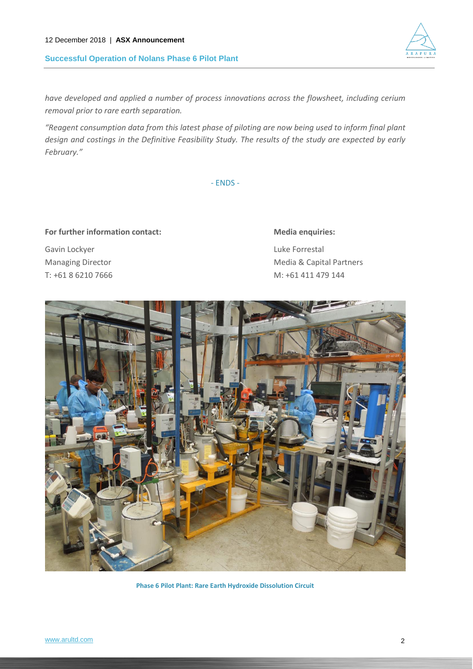#### 12 December 2018 | **ASX Announcement**

**Successful Operation of Nolans Phase 6 Pilot Plant**

*have developed and applied a number of process innovations across the flowsheet, including cerium removal prior to rare earth separation.*

*"Reagent consumption data from this latest phase of piloting are now being used to inform final plant design and costings in the Definitive Feasibility Study. The results of the study are expected by early February."*

- ENDS -

### For further information contact: Media enquiries:

Gavin Lockyer **Luke Forrestal** 

Managing Director **Managing Director** Media & Capital Partners T: +61 8 6210 7666 M: +61 411 479 144



**Phase 6 Pilot Plant: Rare Earth Hydroxide Dissolution Circuit**